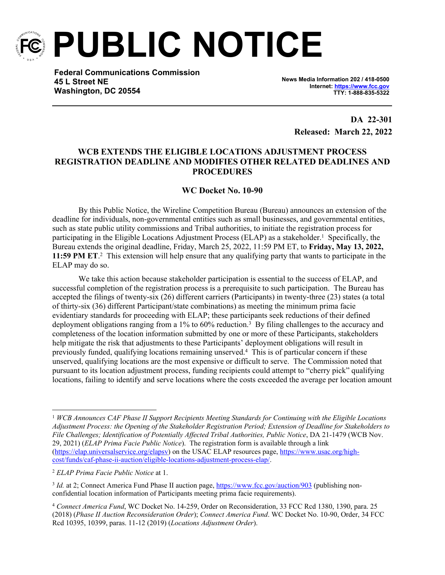

**PUBLIC NOTICE**

**Federal Communications Commission 45 L Street NE Washington, DC 20554**

**News Media Information 202 / 418-0500 Internet:<https://www.fcc.gov> TTY: 1-888-835-5322**

> **DA 22-301 Released: March 22, 2022**

## **WCB EXTENDS THE ELIGIBLE LOCATIONS ADJUSTMENT PROCESS REGISTRATION DEADLINE AND MODIFIES OTHER RELATED DEADLINES AND PROCEDURES**

## **WC Docket No. 10-90**

By this Public Notice, the Wireline Competition Bureau (Bureau) announces an extension of the deadline for individuals, non-governmental entities such as small businesses, and governmental entities, such as state public utility commissions and Tribal authorities, to initiate the registration process for participating in the Eligible Locations Adjustment Process (ELAP) as a stakeholder.<sup>1</sup> Specifically, the Bureau extends the original deadline, Friday, March 25, 2022, 11:59 PM ET, to **Friday, May 13, 2022, 11:59 PM ET.** This extension will help ensure that any qualifying party that wants to participate in the ELAP may do so.

We take this action because stakeholder participation is essential to the success of ELAP, and successful completion of the registration process is a prerequisite to such participation. The Bureau has accepted the filings of twenty-six (26) different carriers (Participants) in twenty-three (23) states (a total of thirty-six (36) different Participant/state combinations) as meeting the minimum prima facie evidentiary standards for proceeding with ELAP; these participants seek reductions of their defined deployment obligations ranging from a 1% to 60% reduction.<sup>3</sup> By filing challenges to the accuracy and completeness of the location information submitted by one or more of these Participants, stakeholders help mitigate the risk that adjustments to these Participants' deployment obligations will result in previously funded, qualifying locations remaining unserved.<sup>4</sup> This is of particular concern if these unserved, qualifying locations are the most expensive or difficult to serve. The Commission noted that pursuant to its location adjustment process, funding recipients could attempt to "cherry pick" qualifying locations, failing to identify and serve locations where the costs exceeded the average per location amount

<sup>1</sup> *WCB Announces CAF Phase II Support Recipients Meeting Standards for Continuing with the Eligible Locations Adjustment Process: the Opening of the Stakeholder Registration Period; Extension of Deadline for Stakeholders to File Challenges; Identification of Potentially Affected Tribal Authorities, Public Notice*, DA 21-1479 (WCB Nov. 29, 2021) (*ELAP Prima Facie Public Notice*). The registration form is available through a link [\(https://elap.universalservice.org/elapsv](https://elap.universalservice.org/elapsv)) on the USAC ELAP resources page, [https://www.usac.org/high](https://www.usac.org/high-cost/funds/caf-phase-ii-auction/eligible-locations-adjustment-process-elap/)[cost/funds/caf-phase-ii-auction/eligible-locations-adjustment-process-elap/](https://www.usac.org/high-cost/funds/caf-phase-ii-auction/eligible-locations-adjustment-process-elap/).

<sup>2</sup> *ELAP Prima Facie Public Notice* at 1.

<sup>&</sup>lt;sup>3</sup> *Id.* at 2; Connect America Fund Phase II auction page, <https://www.fcc.gov/auction/903> (publishing nonconfidential location information of Participants meeting prima facie requirements).

<sup>4</sup> *Connect America Fund*, WC Docket No. 14-259, Order on Reconsideration, 33 FCC Rcd 1380, 1390, para. 25 (2018) (*Phase II Auction Reconsideration Order*); *Connect America Fund*. WC Docket No. 10-90, Order, 34 FCC Rcd 10395, 10399, paras. 11-12 (2019) (*Locations Adjustment Order*).